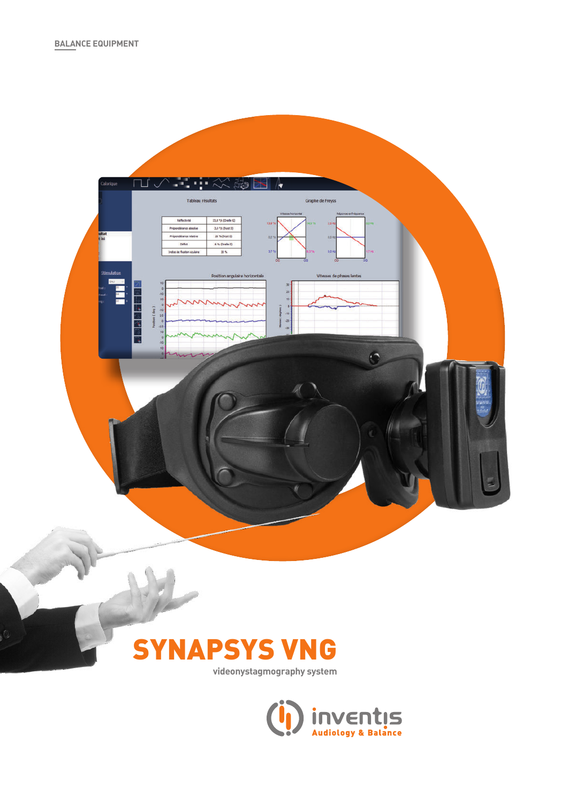



**videonystagmography system**

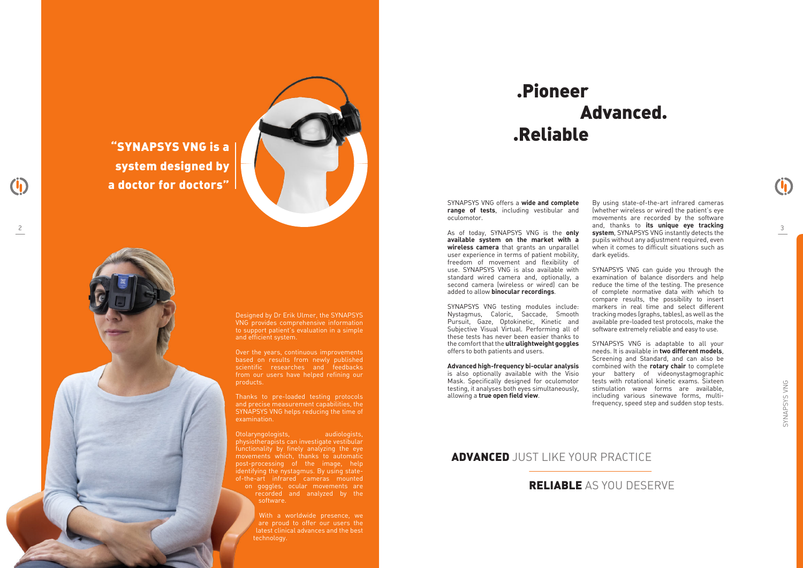## ADVANCED JUST LIKE YOUR PRACTICE

# .Pioneer .Reliable Advanced.

Designed by Dr Erik Ulmer, the SYNAPSYS VNG provides comprehensive information to support patient's evaluation in a simple and efficient system.

Over the years, continuous improvements based on results from newly published scientific researches and feedbacks from our users have helped refining our products.

Otolaryngologists, audiologists, physiotherapists can investigate vestibular functionality by finely analyzing the eye movements which, thanks to automatic post-processing of the image, help identifying the nystagmus. By using stateof-the-art infrared cameras mounted on goggles, ocular movements are recorded and analyzed by the software.

Thanks to pre-loaded testing protocols and precise measurement capabilities, the SYNAPSYS VNG helps reducing the time of examination.

> With a worldwide presence, we are proud to offer our users the latest clinical advances and the best technology.

SYNAPSYS VNG offers a **wide and complete range of tests**, including vestibular and oculomotor.

As of today, SYNAPSYS VNG is the **only available system on the market with a wireless camera** that grants an unparallel user experience in terms of patient mobility, freedom of movement and flexibility of use. SYNAPSYS VNG is also available with standard wired camera and, optionally, a second camera (wireless or wired) can be added to allow **binocular recordings**.

SYNAPSYS VNG testing modules include: Nystagmus, Caloric, Saccade, Smooth Pursuit, Gaze, Optokinetic, Kinetic and Subjective Visual Virtual. Performing all of these tests has never been easier thanks to the comfort that the **ultralightweight goggles** offers to both patients and users.

**Advanced high-frequency bi-ocular analysis**  is also optionally available with the Visio Mask. Specifically designed for oculomotor testing, it analyses both eyes simultaneously, allowing a **true open field view**.

By using state-of-the-art infrared cameras (whether wireless or wired) the patient's eye movements are recorded by the software and, thanks to **its unique eye tracking**  2 3 **system**, SYNAPSYS VNG instantly detects the pupils without any adjustment required, even when it comes to difficult situations such as dark eyelids.

> SYNAPSYS VNG can guide you through the examination of balance disorders and help reduce the time of the testing. The presence of complete normative data with which to compare results, the possibility to insert markers in real time and select different tracking modes (graphs, tables), as well as the

available pre-loaded test protocols, make the software extremely reliable and easy to use. SYNAPSYS VNG is adaptable to all your needs. It is available in **two different models**, Screening and Standard, and can also be combined with the **rotary chair** to complete your battery of videonystagmographic tests with rotational kinetic exams. Sixteen stimulation wave forms are available, including various sinewave forms, multifrequency, speed step and sudden stop tests.

"SYNAPSYS VNG is a system designed by a doctor for doctors"

## RELIABLE AS YOU DESERVE

 $\ddot{\mathbf{0}}$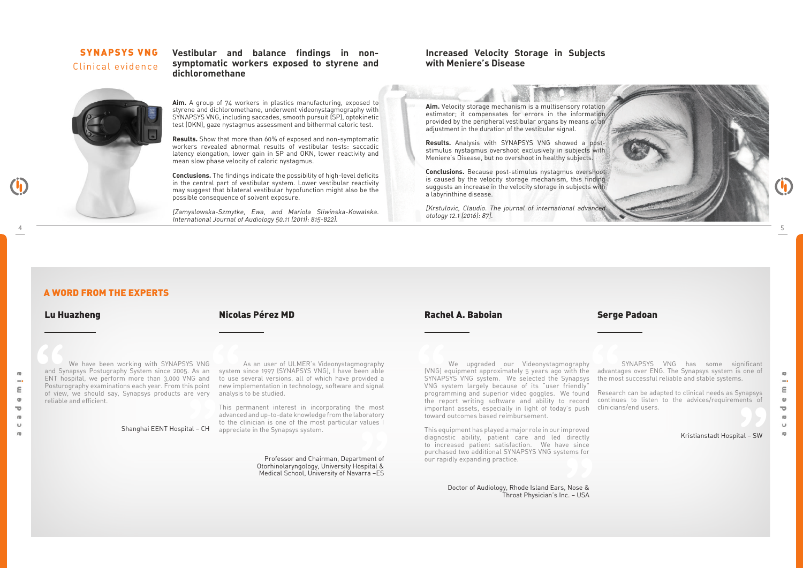## SYNAPSYS VNG Clinical evidence

### **Vestibular and balance findings in nonsymptomatic workers exposed to styrene and dichloromethane**



**Aim.** A group of 74 workers in plastics manufacturing, exposed to styrene and dichloromethane, underwent videonystagmography with SYNAPSYS VNG, including saccades, smooth pursuit (SP), optokinetic test (OKN), gaze nystagmus assessment and bithermal caloric test.

**Results.** Show that more than 60% of exposed and non-symptomatic workers revealed abnormal results of vestibular tests: saccadic latency elongation, lower gain in SP and OKN, lower reactivity and mean slow phase velocity of caloric nystagmus.

**Conclusions.** The findings indicate the possibility of high-level deficits in the central part of vestibular system. Lower vestibular reactivity may suggest that bilateral vestibular hypofunction might also be the possible consequence of solvent exposure.

[Zamyslowska-Szmytke, Ewa, and Mariola Sliwinska-Kowalska. International Journal of Audiology 50.11 (2011): 815-822].

### **Increased Velocity Storage in Subjects with Meniere's Disease**

**Aim.** Velocity storage mechanism is a multisensory rotation estimator; it compensates for errors in the information provided by the peripheral vestibular organs by means of an adjustment in the duration of the vestibular signal.

This equipment has played a major role in our improved diagnostic ability, patient care and led directly to increased patient satisfaction. We have since purchased two additional SYNAPSYS VNG systems for our rapidly expanding practice. proved<br>directly<br>a since<br>mms for<br>**The Contract of Service 1997** 

 As an user of ULMER's Videonystagmography new implementation in technology, software and signal We have been working with SYNAPSYS VNG<br>
We have been working with SYNAPSYS VNG<br>
As an user of ULMER's Videonystagmography<br>
Me upgraded our Videonystagmography<br>
ENT hospital, we perform more than 3,000 VNG and to use severa As an system sli<br>
IG and to use sev<br>
s point new imple<br>
e very analysis to<br>
This pern<br>
advanced

**Results.** Analysis with SYNAPSYS VNG showed a poststimulus nystagmus overshoot exclusively in subjects with Meniere's Disease, but no overshoot in healthy subjects.

**Conclusions.** Because post-stimulus nystagmus overshoot is caused by the velocity storage mechanism, this finding suggests an increase in the velocity storage in subjects with a labyrinthine disease.

[Krstulovic, Claudio. The journal of international advanced otology 12.1 (2016): 87].

 We have been working with SYNAPSYS VNG and Synapsys Postugraphy System since 2005. As an system since 1997 (SYNAPSYS VNG), I have been able ENT hospital, we perform more than 3,000 VNG and to use several versions, all of which have provided a Posturography examinations each year. From this point of view, we should say, Synapsys products are very analysis to be studied. reliable and efficient.

#### We upgraded our Videonystagmography (VNG) equipment approximately 5 years ago with the SYNAPSYS VNG system. We selected the Synapsys VNG system largely because of its "user friendly" programming and superior video goggles. We found the report writing software and ability to record important assets, especially in light of today's push clinicians/end users. toward outcomes based reimbursement.

 Doctor of Audiology, Rhode Island Ears, Nose & Throat Physician's Inc. – USA

Shanghai EENT Hospital – CH appreciate in the Synapsys system. This permanent interest in incorporating the most advanced and up-to-date knowledge from the laboratory to the clinician is one of the most particular values I **"**

> Professor and Chairman, Department of Otorhinolaryngology, University Hospital & Medical School, University of Navarra –ES

 SYNAPSYS VNG has some significant advantages over ENG. The Synapsys system is one of the most successful reliable and stable systems.

Research can be adapted to clinical needs as Synapsys continues to listen to the advices/requirements of

Kristianstadt Hospital – SW

#### Lu Huazheng Rachel A. Baboian Nicolas Pérez MD Serge Padoan

### A WORD FROM THE EXPERTS



# IN)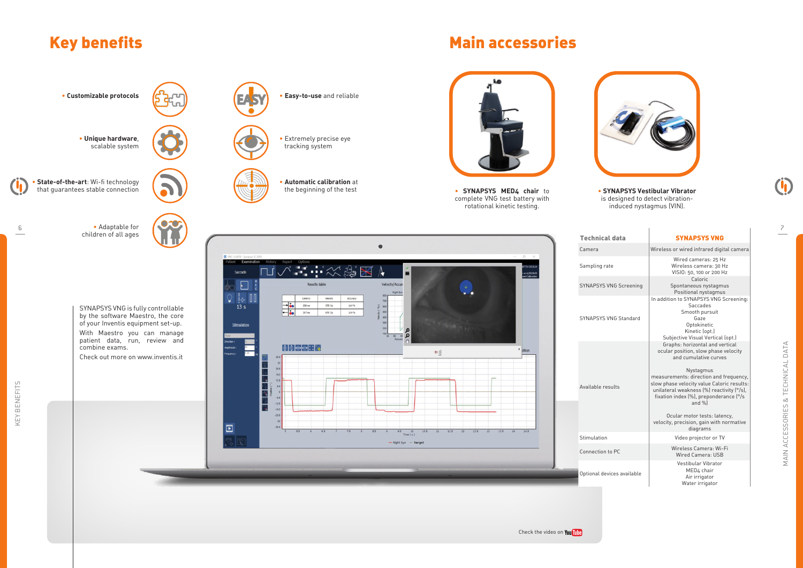# Key benefits **Main accessories** Main accessories

| <b>Technical data</b>         | <b>SYNAPSYS VNG</b>                                                                                                                                                                                                                                                                                                                                                                                                           |
|-------------------------------|-------------------------------------------------------------------------------------------------------------------------------------------------------------------------------------------------------------------------------------------------------------------------------------------------------------------------------------------------------------------------------------------------------------------------------|
| Camera                        | Wireless or wired infrared digital camera                                                                                                                                                                                                                                                                                                                                                                                     |
| Sampling rate                 | Wired cameras: 25 Hz<br>Wireless camera: 30 Hz<br>VISIO: 50, 100 or 200 Hz                                                                                                                                                                                                                                                                                                                                                    |
| <b>SYNAPSYS VNG Screening</b> | Caloric<br>Spontaneous nystagmus<br>Positional nystagmus                                                                                                                                                                                                                                                                                                                                                                      |
| <b>SYNAPSYS VNG Standard</b>  | In addition to SYNAPSYS VNG Screening:<br>Saccades<br>Smooth pursuit<br>Gaze<br>Optokinetic<br>Kinetic (opt.)<br>Subjective Visual Vertical (opt.)                                                                                                                                                                                                                                                                            |
| Available results             | Graphs: horizontal and vertical<br>ocular position, slow phase velocity<br>and cumulative curves<br>Nystagmus<br>measurements: direction and frequency,<br>slow phase velocity value Caloric results:<br>unilateral weakness [%] reactivity [°/s],<br>fixation index $\left[\% \right]$ , preponderance $\left[\% \right]$<br>and $%$<br>Ocular motor tests: latency,<br>velocity, precision, gain with normative<br>diagrams |
| Stimulation                   | Video projector or TV                                                                                                                                                                                                                                                                                                                                                                                                         |
| Connection to PC              | Wireless Camera: Wi-Fi<br>Wired Camera: USB                                                                                                                                                                                                                                                                                                                                                                                   |
| Optional devices available    | Vestibular Vibrator<br>MED4 chair<br>Air irrigator<br>Water irrigator                                                                                                                                                                                                                                                                                                                                                         |

MAIN ACCESSORIES & TECHNICAL DATA MAIN ACCESSORIES & TECHNICAL DATA

U)





#### • **SYNAPSYS Vestibular Vibrator** is designed to detect vibrationinduced nystagmus (VIN).

6/29/2020<br>Calibration